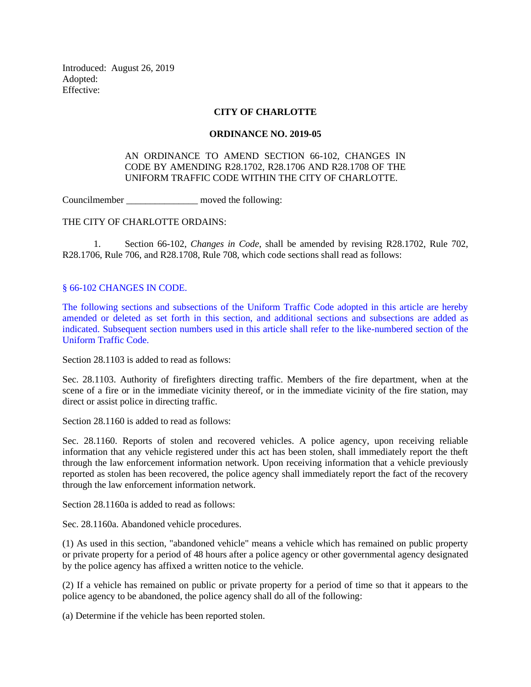Introduced: August 26, 2019 Adopted: Effective:

## **CITY OF CHARLOTTE**

## **ORDINANCE NO. 2019-05**

## AN ORDINANCE TO AMEND SECTION 66-102, CHANGES IN CODE BY AMENDING R28.1702, R28.1706 AND R28.1708 OF THE UNIFORM TRAFFIC CODE WITHIN THE CITY OF CHARLOTTE.

Councilmember moved the following:

THE CITY OF CHARLOTTE ORDAINS:

1. Section 66-102, *Changes in Code*, shall be amended by revising R28.1702, Rule 702, R28.1706, Rule 706, and R28.1708, Rule 708, which code sections shall read as follows:

§ 66-102 CHANGES IN CODE.

The following sections and subsections of the Uniform Traffic Code adopted in this article are hereby amended or deleted as set forth in this section, and additional sections and subsections are added as indicated. Subsequent section numbers used in this article shall refer to the like-numbered section of the Uniform Traffic Code.

Section 28.1103 is added to read as follows:

Sec. 28.1103. Authority of firefighters directing traffic. Members of the fire department, when at the scene of a fire or in the immediate vicinity thereof, or in the immediate vicinity of the fire station, may direct or assist police in directing traffic.

Section 28.1160 is added to read as follows:

Sec. 28.1160. Reports of stolen and recovered vehicles. A police agency, upon receiving reliable information that any vehicle registered under this act has been stolen, shall immediately report the theft through the law enforcement information network. Upon receiving information that a vehicle previously reported as stolen has been recovered, the police agency shall immediately report the fact of the recovery through the law enforcement information network.

Section 28.1160a is added to read as follows:

Sec. 28.1160a. Abandoned vehicle procedures.

(1) As used in this section, "abandoned vehicle" means a vehicle which has remained on public property or private property for a period of 48 hours after a police agency or other governmental agency designated by the police agency has affixed a written notice to the vehicle.

(2) If a vehicle has remained on public or private property for a period of time so that it appears to the police agency to be abandoned, the police agency shall do all of the following:

(a) Determine if the vehicle has been reported stolen.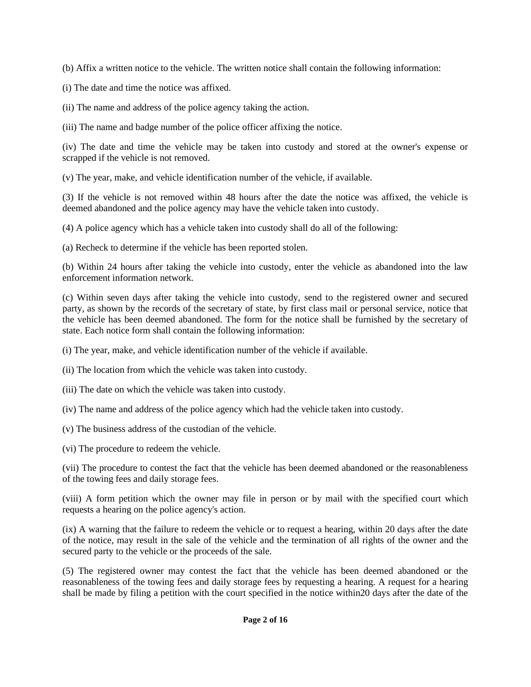(b) Affix a written notice to the vehicle. The written notice shall contain the following information:

(i) The date and time the notice was affixed.

(ii) The name and address of the police agency taking the action.

(iii) The name and badge number of the police officer affixing the notice.

(iv) The date and time the vehicle may be taken into custody and stored at the owner's expense or scrapped if the vehicle is not removed.

(v) The year, make, and vehicle identification number of the vehicle, if available.

(3) If the vehicle is not removed within 48 hours after the date the notice was affixed, the vehicle is deemed abandoned and the police agency may have the vehicle taken into custody.

(4) A police agency which has a vehicle taken into custody shall do all of the following:

(a) Recheck to determine if the vehicle has been reported stolen.

(b) Within 24 hours after taking the vehicle into custody, enter the vehicle as abandoned into the law enforcement information network.

(c) Within seven days after taking the vehicle into custody, send to the registered owner and secured party, as shown by the records of the secretary of state, by first class mail or personal service, notice that the vehicle has been deemed abandoned. The form for the notice shall be furnished by the secretary of state. Each notice form shall contain the following information:

(i) The year, make, and vehicle identification number of the vehicle if available.

(ii) The location from which the vehicle was taken into custody.

(iii) The date on which the vehicle was taken into custody.

(iv) The name and address of the police agency which had the vehicle taken into custody.

(v) The business address of the custodian of the vehicle.

(vi) The procedure to redeem the vehicle.

(vii) The procedure to contest the fact that the vehicle has been deemed abandoned or the reasonableness of the towing fees and daily storage fees.

(viii) A form petition which the owner may file in person or by mail with the specified court which requests a hearing on the police agency's action.

(ix) A warning that the failure to redeem the vehicle or to request a hearing, within 20 days after the date of the notice, may result in the sale of the vehicle and the termination of all rights of the owner and the secured party to the vehicle or the proceeds of the sale.

(5) The registered owner may contest the fact that the vehicle has been deemed abandoned or the reasonableness of the towing fees and daily storage fees by requesting a hearing. A request for a hearing shall be made by filing a petition with the court specified in the notice within20 days after the date of the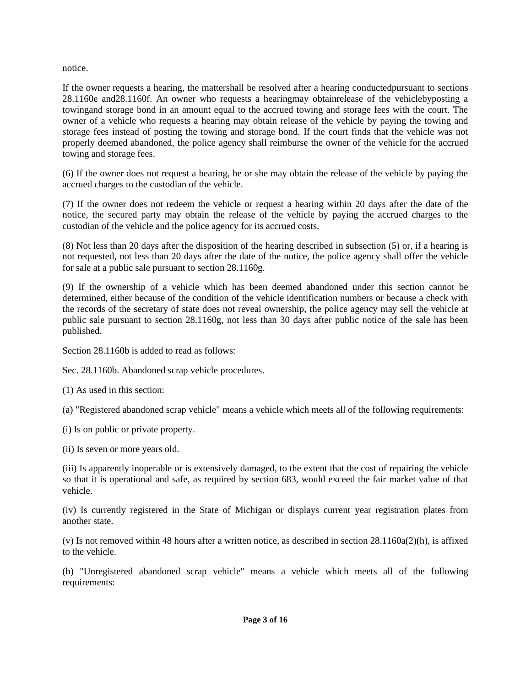notice.

If the owner requests a hearing, the mattershall be resolved after a hearing conductedpursuant to sections 28.1160e and28.1160f. An owner who requests a hearingmay obtainrelease of the vehiclebyposting a towingand storage bond in an amount equal to the accrued towing and storage fees with the court. The owner of a vehicle who requests a hearing may obtain release of the vehicle by paying the towing and storage fees instead of posting the towing and storage bond. If the court finds that the vehicle was not properly deemed abandoned, the police agency shall reimburse the owner of the vehicle for the accrued towing and storage fees.

(6) If the owner does not request a hearing, he or she may obtain the release of the vehicle by paying the accrued charges to the custodian of the vehicle.

(7) If the owner does not redeem the vehicle or request a hearing within 20 days after the date of the notice, the secured party may obtain the release of the vehicle by paying the accrued charges to the custodian of the vehicle and the police agency for its accrued costs.

(8) Not less than 20 days after the disposition of the hearing described in subsection (5) or, if a hearing is not requested, not less than 20 days after the date of the notice, the police agency shall offer the vehicle for sale at a public sale pursuant to section 28.1160g.

(9) If the ownership of a vehicle which has been deemed abandoned under this section cannot be determined, either because of the condition of the vehicle identification numbers or because a check with the records of the secretary of state does not reveal ownership, the police agency may sell the vehicle at public sale pursuant to section 28.1160g, not less than 30 days after public notice of the sale has been published.

Section 28.1160b is added to read as follows:

Sec. 28.1160b. Abandoned scrap vehicle procedures.

(1) As used in this section:

(a) "Registered abandoned scrap vehicle" means a vehicle which meets all of the following requirements:

- (i) Is on public or private property.
- (ii) Is seven or more years old.

(iii) Is apparently inoperable or is extensively damaged, to the extent that the cost of repairing the vehicle so that it is operational and safe, as required by section 683, would exceed the fair market value of that vehicle.

(iv) Is currently registered in the State of Michigan or displays current year registration plates from another state.

(v) Is not removed within 48 hours after a written notice, as described in section 28.1160a(2)(h), is affixed to the vehicle.

(b) "Unregistered abandoned scrap vehicle" means a vehicle which meets all of the following requirements: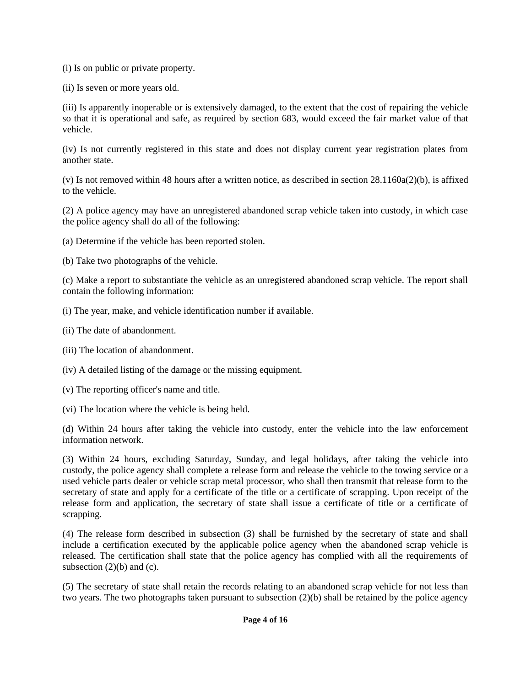(i) Is on public or private property.

(ii) Is seven or more years old.

(iii) Is apparently inoperable or is extensively damaged, to the extent that the cost of repairing the vehicle so that it is operational and safe, as required by section 683, would exceed the fair market value of that vehicle.

(iv) Is not currently registered in this state and does not display current year registration plates from another state.

(v) Is not removed within 48 hours after a written notice, as described in section 28.1160a(2)(b), is affixed to the vehicle.

(2) A police agency may have an unregistered abandoned scrap vehicle taken into custody, in which case the police agency shall do all of the following:

(a) Determine if the vehicle has been reported stolen.

(b) Take two photographs of the vehicle.

(c) Make a report to substantiate the vehicle as an unregistered abandoned scrap vehicle. The report shall contain the following information:

- (i) The year, make, and vehicle identification number if available.
- (ii) The date of abandonment.
- (iii) The location of abandonment.
- (iv) A detailed listing of the damage or the missing equipment.
- (v) The reporting officer's name and title.
- (vi) The location where the vehicle is being held.

(d) Within 24 hours after taking the vehicle into custody, enter the vehicle into the law enforcement information network.

(3) Within 24 hours, excluding Saturday, Sunday, and legal holidays, after taking the vehicle into custody, the police agency shall complete a release form and release the vehicle to the towing service or a used vehicle parts dealer or vehicle scrap metal processor, who shall then transmit that release form to the secretary of state and apply for a certificate of the title or a certificate of scrapping. Upon receipt of the release form and application, the secretary of state shall issue a certificate of title or a certificate of scrapping.

(4) The release form described in subsection (3) shall be furnished by the secretary of state and shall include a certification executed by the applicable police agency when the abandoned scrap vehicle is released. The certification shall state that the police agency has complied with all the requirements of subsection  $(2)(b)$  and  $(c)$ .

(5) The secretary of state shall retain the records relating to an abandoned scrap vehicle for not less than two years. The two photographs taken pursuant to subsection (2)(b) shall be retained by the police agency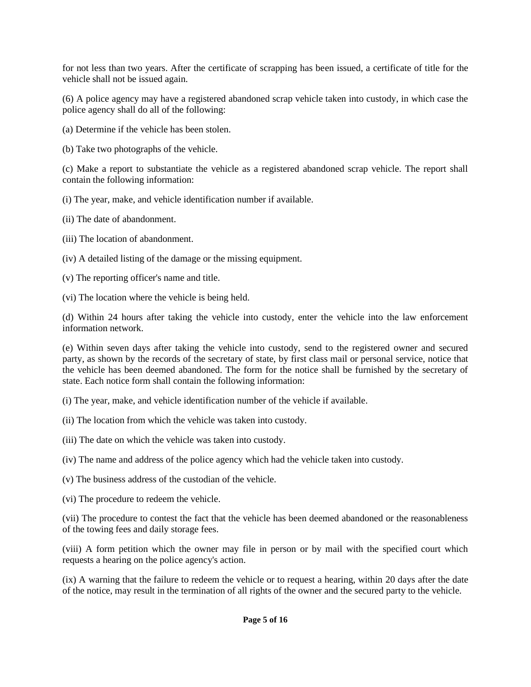for not less than two years. After the certificate of scrapping has been issued, a certificate of title for the vehicle shall not be issued again.

(6) A police agency may have a registered abandoned scrap vehicle taken into custody, in which case the police agency shall do all of the following:

(a) Determine if the vehicle has been stolen.

(b) Take two photographs of the vehicle.

(c) Make a report to substantiate the vehicle as a registered abandoned scrap vehicle. The report shall contain the following information:

(i) The year, make, and vehicle identification number if available.

(ii) The date of abandonment.

(iii) The location of abandonment.

(iv) A detailed listing of the damage or the missing equipment.

(v) The reporting officer's name and title.

(vi) The location where the vehicle is being held.

(d) Within 24 hours after taking the vehicle into custody, enter the vehicle into the law enforcement information network.

(e) Within seven days after taking the vehicle into custody, send to the registered owner and secured party, as shown by the records of the secretary of state, by first class mail or personal service, notice that the vehicle has been deemed abandoned. The form for the notice shall be furnished by the secretary of state. Each notice form shall contain the following information:

(i) The year, make, and vehicle identification number of the vehicle if available.

- (ii) The location from which the vehicle was taken into custody.
- (iii) The date on which the vehicle was taken into custody.
- (iv) The name and address of the police agency which had the vehicle taken into custody.
- (v) The business address of the custodian of the vehicle.
- (vi) The procedure to redeem the vehicle.

(vii) The procedure to contest the fact that the vehicle has been deemed abandoned or the reasonableness of the towing fees and daily storage fees.

(viii) A form petition which the owner may file in person or by mail with the specified court which requests a hearing on the police agency's action.

(ix) A warning that the failure to redeem the vehicle or to request a hearing, within 20 days after the date of the notice, may result in the termination of all rights of the owner and the secured party to the vehicle.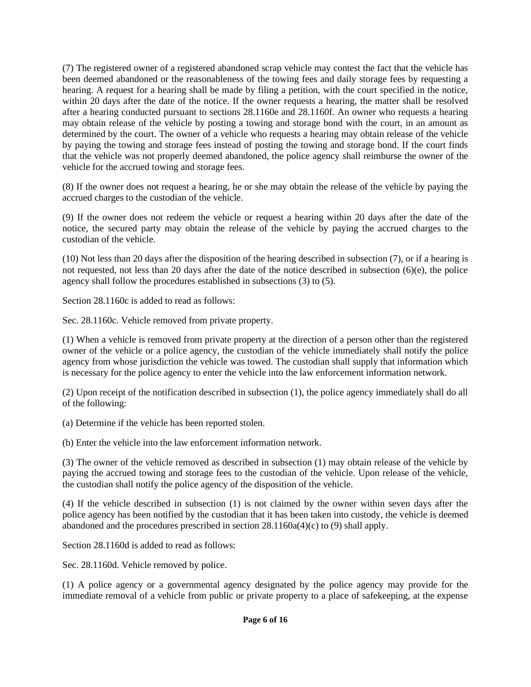(7) The registered owner of a registered abandoned scrap vehicle may contest the fact that the vehicle has been deemed abandoned or the reasonableness of the towing fees and daily storage fees by requesting a hearing. A request for a hearing shall be made by filing a petition, with the court specified in the notice, within 20 days after the date of the notice. If the owner requests a hearing, the matter shall be resolved after a hearing conducted pursuant to sections 28.1160e and 28.1160f. An owner who requests a hearing may obtain release of the vehicle by posting a towing and storage bond with the court, in an amount as determined by the court. The owner of a vehicle who requests a hearing may obtain release of the vehicle by paying the towing and storage fees instead of posting the towing and storage bond. If the court finds that the vehicle was not properly deemed abandoned, the police agency shall reimburse the owner of the vehicle for the accrued towing and storage fees.

(8) If the owner does not request a hearing, he or she may obtain the release of the vehicle by paying the accrued charges to the custodian of the vehicle.

(9) If the owner does not redeem the vehicle or request a hearing within 20 days after the date of the notice, the secured party may obtain the release of the vehicle by paying the accrued charges to the custodian of the vehicle.

(10) Not less than 20 days after the disposition of the hearing described in subsection (7), or if a hearing is not requested, not less than 20 days after the date of the notice described in subsection (6)(e), the police agency shall follow the procedures established in subsections (3) to (5).

Section 28.1160c is added to read as follows:

Sec. 28.1160c. Vehicle removed from private property.

(1) When a vehicle is removed from private property at the direction of a person other than the registered owner of the vehicle or a police agency, the custodian of the vehicle immediately shall notify the police agency from whose jurisdiction the vehicle was towed. The custodian shall supply that information which is necessary for the police agency to enter the vehicle into the law enforcement information network.

(2) Upon receipt of the notification described in subsection (1), the police agency immediately shall do all of the following:

(a) Determine if the vehicle has been reported stolen.

(b) Enter the vehicle into the law enforcement information network.

(3) The owner of the vehicle removed as described in subsection (1) may obtain release of the vehicle by paying the accrued towing and storage fees to the custodian of the vehicle. Upon release of the vehicle, the custodian shall notify the police agency of the disposition of the vehicle.

(4) If the vehicle described in subsection (1) is not claimed by the owner within seven days after the police agency has been notified by the custodian that it has been taken into custody, the vehicle is deemed abandoned and the procedures prescribed in section 28.1160a(4)(c) to (9) shall apply.

Section 28.1160d is added to read as follows:

Sec. 28.1160d. Vehicle removed by police.

(1) A police agency or a governmental agency designated by the police agency may provide for the immediate removal of a vehicle from public or private property to a place of safekeeping, at the expense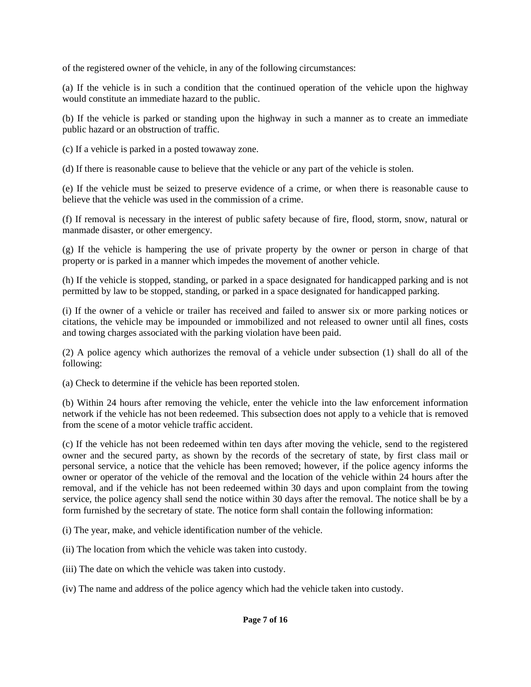of the registered owner of the vehicle, in any of the following circumstances:

(a) If the vehicle is in such a condition that the continued operation of the vehicle upon the highway would constitute an immediate hazard to the public.

(b) If the vehicle is parked or standing upon the highway in such a manner as to create an immediate public hazard or an obstruction of traffic.

(c) If a vehicle is parked in a posted towaway zone.

(d) If there is reasonable cause to believe that the vehicle or any part of the vehicle is stolen.

(e) If the vehicle must be seized to preserve evidence of a crime, or when there is reasonable cause to believe that the vehicle was used in the commission of a crime.

(f) If removal is necessary in the interest of public safety because of fire, flood, storm, snow, natural or manmade disaster, or other emergency.

(g) If the vehicle is hampering the use of private property by the owner or person in charge of that property or is parked in a manner which impedes the movement of another vehicle.

(h) If the vehicle is stopped, standing, or parked in a space designated for handicapped parking and is not permitted by law to be stopped, standing, or parked in a space designated for handicapped parking.

(i) If the owner of a vehicle or trailer has received and failed to answer six or more parking notices or citations, the vehicle may be impounded or immobilized and not released to owner until all fines, costs and towing charges associated with the parking violation have been paid.

(2) A police agency which authorizes the removal of a vehicle under subsection (1) shall do all of the following:

(a) Check to determine if the vehicle has been reported stolen.

(b) Within 24 hours after removing the vehicle, enter the vehicle into the law enforcement information network if the vehicle has not been redeemed. This subsection does not apply to a vehicle that is removed from the scene of a motor vehicle traffic accident.

(c) If the vehicle has not been redeemed within ten days after moving the vehicle, send to the registered owner and the secured party, as shown by the records of the secretary of state, by first class mail or personal service, a notice that the vehicle has been removed; however, if the police agency informs the owner or operator of the vehicle of the removal and the location of the vehicle within 24 hours after the removal, and if the vehicle has not been redeemed within 30 days and upon complaint from the towing service, the police agency shall send the notice within 30 days after the removal. The notice shall be by a form furnished by the secretary of state. The notice form shall contain the following information:

(i) The year, make, and vehicle identification number of the vehicle.

(ii) The location from which the vehicle was taken into custody.

(iii) The date on which the vehicle was taken into custody.

(iv) The name and address of the police agency which had the vehicle taken into custody.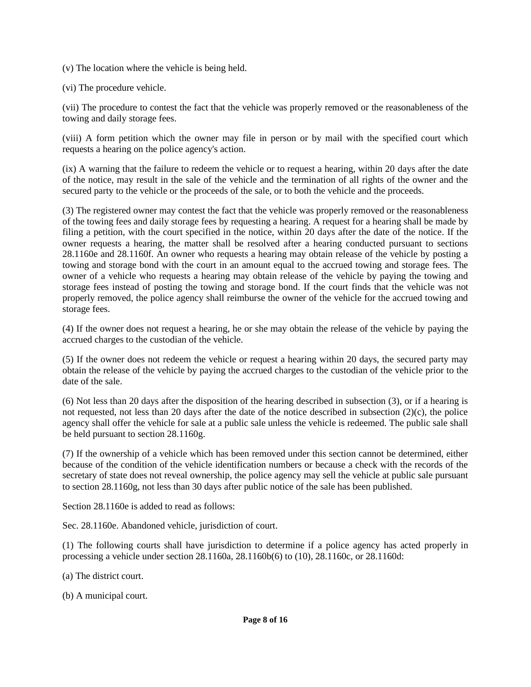(v) The location where the vehicle is being held.

(vi) The procedure vehicle.

(vii) The procedure to contest the fact that the vehicle was properly removed or the reasonableness of the towing and daily storage fees.

(viii) A form petition which the owner may file in person or by mail with the specified court which requests a hearing on the police agency's action.

(ix) A warning that the failure to redeem the vehicle or to request a hearing, within 20 days after the date of the notice, may result in the sale of the vehicle and the termination of all rights of the owner and the secured party to the vehicle or the proceeds of the sale, or to both the vehicle and the proceeds.

(3) The registered owner may contest the fact that the vehicle was properly removed or the reasonableness of the towing fees and daily storage fees by requesting a hearing. A request for a hearing shall be made by filing a petition, with the court specified in the notice, within 20 days after the date of the notice. If the owner requests a hearing, the matter shall be resolved after a hearing conducted pursuant to sections 28.1160e and 28.1160f. An owner who requests a hearing may obtain release of the vehicle by posting a towing and storage bond with the court in an amount equal to the accrued towing and storage fees. The owner of a vehicle who requests a hearing may obtain release of the vehicle by paying the towing and storage fees instead of posting the towing and storage bond. If the court finds that the vehicle was not properly removed, the police agency shall reimburse the owner of the vehicle for the accrued towing and storage fees.

(4) If the owner does not request a hearing, he or she may obtain the release of the vehicle by paying the accrued charges to the custodian of the vehicle.

(5) If the owner does not redeem the vehicle or request a hearing within 20 days, the secured party may obtain the release of the vehicle by paying the accrued charges to the custodian of the vehicle prior to the date of the sale.

(6) Not less than 20 days after the disposition of the hearing described in subsection (3), or if a hearing is not requested, not less than 20 days after the date of the notice described in subsection (2)(c), the police agency shall offer the vehicle for sale at a public sale unless the vehicle is redeemed. The public sale shall be held pursuant to section 28.1160g.

(7) If the ownership of a vehicle which has been removed under this section cannot be determined, either because of the condition of the vehicle identification numbers or because a check with the records of the secretary of state does not reveal ownership, the police agency may sell the vehicle at public sale pursuant to section 28.1160g, not less than 30 days after public notice of the sale has been published.

Section 28.1160e is added to read as follows:

Sec. 28.1160e. Abandoned vehicle, jurisdiction of court.

(1) The following courts shall have jurisdiction to determine if a police agency has acted properly in processing a vehicle under section 28.1160a, 28.1160b(6) to (10), 28.1160c, or 28.1160d:

- (a) The district court.
- (b) A municipal court.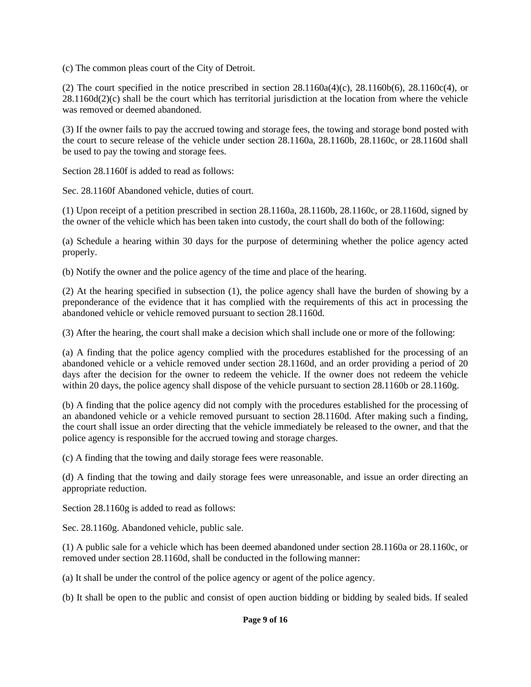(c) The common pleas court of the City of Detroit.

(2) The court specified in the notice prescribed in section  $28.1160a(4)(c)$ ,  $28.1160b(6)$ ,  $28.1160c(4)$ , or  $28.1160d(2)$ (c) shall be the court which has territorial jurisdiction at the location from where the vehicle was removed or deemed abandoned.

(3) If the owner fails to pay the accrued towing and storage fees, the towing and storage bond posted with the court to secure release of the vehicle under section 28.1160a, 28.1160b, 28.1160c, or 28.1160d shall be used to pay the towing and storage fees.

Section 28.1160f is added to read as follows:

Sec. 28.1160f Abandoned vehicle, duties of court.

(1) Upon receipt of a petition prescribed in section  $28.1160a$ ,  $28.1160b$ ,  $28.1160c$ , or  $28.1160d$ , signed by the owner of the vehicle which has been taken into custody, the court shall do both of the following:

(a) Schedule a hearing within 30 days for the purpose of determining whether the police agency acted properly.

(b) Notify the owner and the police agency of the time and place of the hearing.

(2) At the hearing specified in subsection (1), the police agency shall have the burden of showing by a preponderance of the evidence that it has complied with the requirements of this act in processing the abandoned vehicle or vehicle removed pursuant to section 28.1160d.

(3) After the hearing, the court shall make a decision which shall include one or more of the following:

(a) A finding that the police agency complied with the procedures established for the processing of an abandoned vehicle or a vehicle removed under section 28.1160d, and an order providing a period of 20 days after the decision for the owner to redeem the vehicle. If the owner does not redeem the vehicle within 20 days, the police agency shall dispose of the vehicle pursuant to section 28.1160b or 28.1160g.

(b) A finding that the police agency did not comply with the procedures established for the processing of an abandoned vehicle or a vehicle removed pursuant to section 28.1160d. After making such a finding, the court shall issue an order directing that the vehicle immediately be released to the owner, and that the police agency is responsible for the accrued towing and storage charges.

(c) A finding that the towing and daily storage fees were reasonable.

(d) A finding that the towing and daily storage fees were unreasonable, and issue an order directing an appropriate reduction.

Section 28.1160g is added to read as follows:

Sec. 28.1160g. Abandoned vehicle, public sale.

(1) A public sale for a vehicle which has been deemed abandoned under section 28.1160a or 28.1160c, or removed under section 28.1160d, shall be conducted in the following manner:

(a) It shall be under the control of the police agency or agent of the police agency.

(b) It shall be open to the public and consist of open auction bidding or bidding by sealed bids. If sealed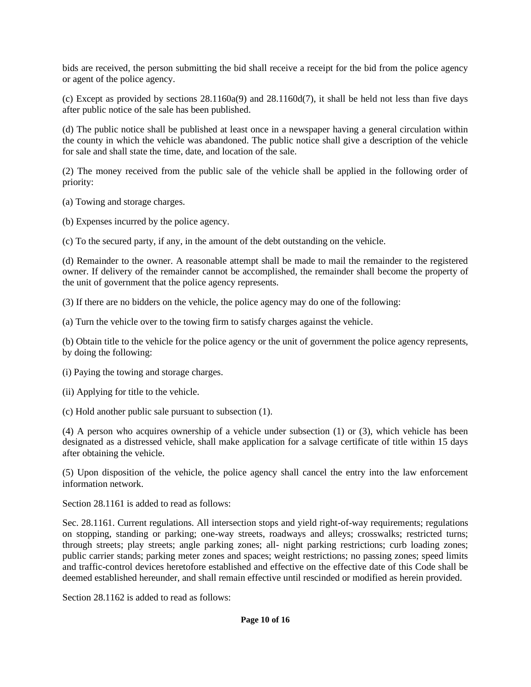bids are received, the person submitting the bid shall receive a receipt for the bid from the police agency or agent of the police agency.

(c) Except as provided by sections 28.1160a(9) and 28.1160d(7), it shall be held not less than five days after public notice of the sale has been published.

(d) The public notice shall be published at least once in a newspaper having a general circulation within the county in which the vehicle was abandoned. The public notice shall give a description of the vehicle for sale and shall state the time, date, and location of the sale.

(2) The money received from the public sale of the vehicle shall be applied in the following order of priority:

(a) Towing and storage charges.

(b) Expenses incurred by the police agency.

(c) To the secured party, if any, in the amount of the debt outstanding on the vehicle.

(d) Remainder to the owner. A reasonable attempt shall be made to mail the remainder to the registered owner. If delivery of the remainder cannot be accomplished, the remainder shall become the property of the unit of government that the police agency represents.

(3) If there are no bidders on the vehicle, the police agency may do one of the following:

(a) Turn the vehicle over to the towing firm to satisfy charges against the vehicle.

(b) Obtain title to the vehicle for the police agency or the unit of government the police agency represents, by doing the following:

(i) Paying the towing and storage charges.

(ii) Applying for title to the vehicle.

(c) Hold another public sale pursuant to subsection (1).

(4) A person who acquires ownership of a vehicle under subsection (1) or (3), which vehicle has been designated as a distressed vehicle, shall make application for a salvage certificate of title within 15 days after obtaining the vehicle.

(5) Upon disposition of the vehicle, the police agency shall cancel the entry into the law enforcement information network.

Section 28.1161 is added to read as follows:

Sec. 28.1161. Current regulations. All intersection stops and yield right-of-way requirements; regulations on stopping, standing or parking; one-way streets, roadways and alleys; crosswalks; restricted turns; through streets; play streets; angle parking zones; all- night parking restrictions; curb loading zones; public carrier stands; parking meter zones and spaces; weight restrictions; no passing zones; speed limits and traffic-control devices heretofore established and effective on the effective date of this Code shall be deemed established hereunder, and shall remain effective until rescinded or modified as herein provided.

Section 28.1162 is added to read as follows: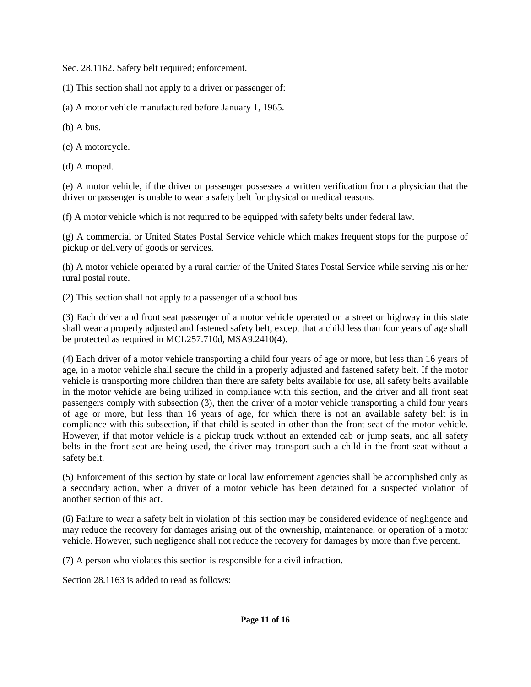Sec. 28.1162. Safety belt required; enforcement.

(1) This section shall not apply to a driver or passenger of:

(a) A motor vehicle manufactured before January 1, 1965.

(b) A bus.

(c) A motorcycle.

(d) A moped.

(e) A motor vehicle, if the driver or passenger possesses a written verification from a physician that the driver or passenger is unable to wear a safety belt for physical or medical reasons.

(f) A motor vehicle which is not required to be equipped with safety belts under federal law.

(g) A commercial or United States Postal Service vehicle which makes frequent stops for the purpose of pickup or delivery of goods or services.

(h) A motor vehicle operated by a rural carrier of the United States Postal Service while serving his or her rural postal route.

(2) This section shall not apply to a passenger of a school bus.

(3) Each driver and front seat passenger of a motor vehicle operated on a street or highway in this state shall wear a properly adjusted and fastened safety belt, except that a child less than four years of age shall be protected as required in MCL257.710d, MSA9.2410(4).

(4) Each driver of a motor vehicle transporting a child four years of age or more, but less than 16 years of age, in a motor vehicle shall secure the child in a properly adjusted and fastened safety belt. If the motor vehicle is transporting more children than there are safety belts available for use, all safety belts available in the motor vehicle are being utilized in compliance with this section, and the driver and all front seat passengers comply with subsection (3), then the driver of a motor vehicle transporting a child four years of age or more, but less than 16 years of age, for which there is not an available safety belt is in compliance with this subsection, if that child is seated in other than the front seat of the motor vehicle. However, if that motor vehicle is a pickup truck without an extended cab or jump seats, and all safety belts in the front seat are being used, the driver may transport such a child in the front seat without a safety belt.

(5) Enforcement of this section by state or local law enforcement agencies shall be accomplished only as a secondary action, when a driver of a motor vehicle has been detained for a suspected violation of another section of this act.

(6) Failure to wear a safety belt in violation of this section may be considered evidence of negligence and may reduce the recovery for damages arising out of the ownership, maintenance, or operation of a motor vehicle. However, such negligence shall not reduce the recovery for damages by more than five percent.

(7) A person who violates this section is responsible for a civil infraction.

Section 28.1163 is added to read as follows: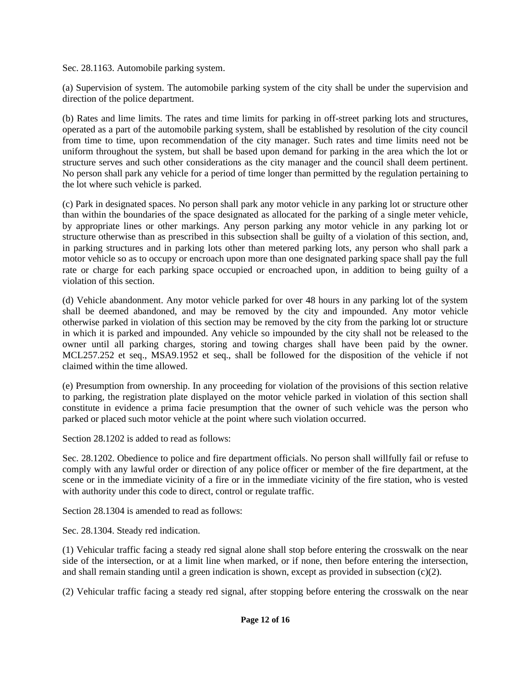Sec. 28.1163. Automobile parking system.

(a) Supervision of system. The automobile parking system of the city shall be under the supervision and direction of the police department.

(b) Rates and lime limits. The rates and time limits for parking in off-street parking lots and structures, operated as a part of the automobile parking system, shall be established by resolution of the city council from time to time, upon recommendation of the city manager. Such rates and time limits need not be uniform throughout the system, but shall be based upon demand for parking in the area which the lot or structure serves and such other considerations as the city manager and the council shall deem pertinent. No person shall park any vehicle for a period of time longer than permitted by the regulation pertaining to the lot where such vehicle is parked.

(c) Park in designated spaces. No person shall park any motor vehicle in any parking lot or structure other than within the boundaries of the space designated as allocated for the parking of a single meter vehicle, by appropriate lines or other markings. Any person parking any motor vehicle in any parking lot or structure otherwise than as prescribed in this subsection shall be guilty of a violation of this section, and, in parking structures and in parking lots other than metered parking lots, any person who shall park a motor vehicle so as to occupy or encroach upon more than one designated parking space shall pay the full rate or charge for each parking space occupied or encroached upon, in addition to being guilty of a violation of this section.

(d) Vehicle abandonment. Any motor vehicle parked for over 48 hours in any parking lot of the system shall be deemed abandoned, and may be removed by the city and impounded. Any motor vehicle otherwise parked in violation of this section may be removed by the city from the parking lot or structure in which it is parked and impounded. Any vehicle so impounded by the city shall not be released to the owner until all parking charges, storing and towing charges shall have been paid by the owner. MCL257.252 et seq., MSA9.1952 et seq., shall be followed for the disposition of the vehicle if not claimed within the time allowed.

(e) Presumption from ownership. In any proceeding for violation of the provisions of this section relative to parking, the registration plate displayed on the motor vehicle parked in violation of this section shall constitute in evidence a prima facie presumption that the owner of such vehicle was the person who parked or placed such motor vehicle at the point where such violation occurred.

Section 28.1202 is added to read as follows:

Sec. 28.1202. Obedience to police and fire department officials. No person shall willfully fail or refuse to comply with any lawful order or direction of any police officer or member of the fire department, at the scene or in the immediate vicinity of a fire or in the immediate vicinity of the fire station, who is vested with authority under this code to direct, control or regulate traffic.

Section 28.1304 is amended to read as follows:

Sec. 28.1304. Steady red indication.

(1) Vehicular traffic facing a steady red signal alone shall stop before entering the crosswalk on the near side of the intersection, or at a limit line when marked, or if none, then before entering the intersection, and shall remain standing until a green indication is shown, except as provided in subsection (c)(2).

(2) Vehicular traffic facing a steady red signal, after stopping before entering the crosswalk on the near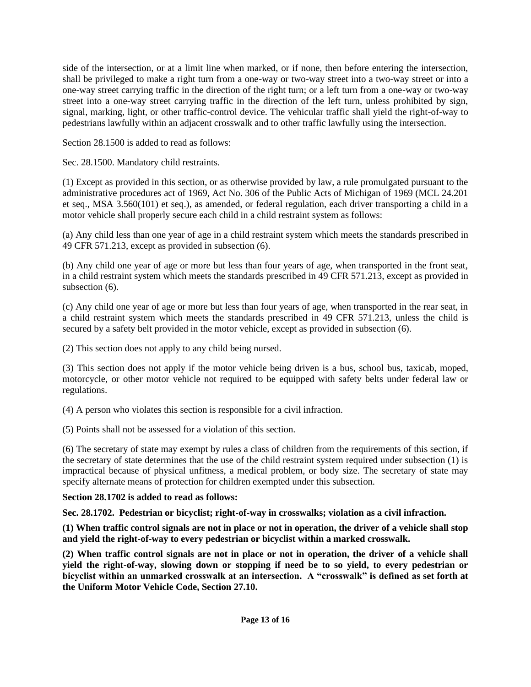side of the intersection, or at a limit line when marked, or if none, then before entering the intersection, shall be privileged to make a right turn from a one-way or two-way street into a two-way street or into a one-way street carrying traffic in the direction of the right turn; or a left turn from a one-way or two-way street into a one-way street carrying traffic in the direction of the left turn, unless prohibited by sign, signal, marking, light, or other traffic-control device. The vehicular traffic shall yield the right-of-way to pedestrians lawfully within an adjacent crosswalk and to other traffic lawfully using the intersection.

Section 28.1500 is added to read as follows:

Sec. 28.1500. Mandatory child restraints.

(1) Except as provided in this section, or as otherwise provided by law, a rule promulgated pursuant to the administrative procedures act of 1969, Act No. 306 of the Public Acts of Michigan of 1969 (MCL 24.201 et seq., MSA 3.560(101) et seq.), as amended, or federal regulation, each driver transporting a child in a motor vehicle shall properly secure each child in a child restraint system as follows:

(a) Any child less than one year of age in a child restraint system which meets the standards prescribed in 49 CFR 571.213, except as provided in subsection (6).

(b) Any child one year of age or more but less than four years of age, when transported in the front seat, in a child restraint system which meets the standards prescribed in 49 CFR 571.213, except as provided in subsection  $(6)$ .

(c) Any child one year of age or more but less than four years of age, when transported in the rear seat, in a child restraint system which meets the standards prescribed in 49 CFR 571.213, unless the child is secured by a safety belt provided in the motor vehicle, except as provided in subsection (6).

(2) This section does not apply to any child being nursed.

(3) This section does not apply if the motor vehicle being driven is a bus, school bus, taxicab, moped, motorcycle, or other motor vehicle not required to be equipped with safety belts under federal law or regulations.

(4) A person who violates this section is responsible for a civil infraction.

(5) Points shall not be assessed for a violation of this section.

(6) The secretary of state may exempt by rules a class of children from the requirements of this section, if the secretary of state determines that the use of the child restraint system required under subsection (1) is impractical because of physical unfitness, a medical problem, or body size. The secretary of state may specify alternate means of protection for children exempted under this subsection.

## **Section 28.1702 is added to read as follows:**

**Sec. 28.1702. Pedestrian or bicyclist; right-of-way in crosswalks; violation as a civil infraction.**

**(1) When traffic control signals are not in place or not in operation, the driver of a vehicle shall stop and yield the right-of-way to every pedestrian or bicyclist within a marked crosswalk.**

**(2) When traffic control signals are not in place or not in operation, the driver of a vehicle shall yield the right-of-way, slowing down or stopping if need be to so yield, to every pedestrian or bicyclist within an unmarked crosswalk at an intersection. A "crosswalk" is defined as set forth at the Uniform Motor Vehicle Code, Section 27.10.**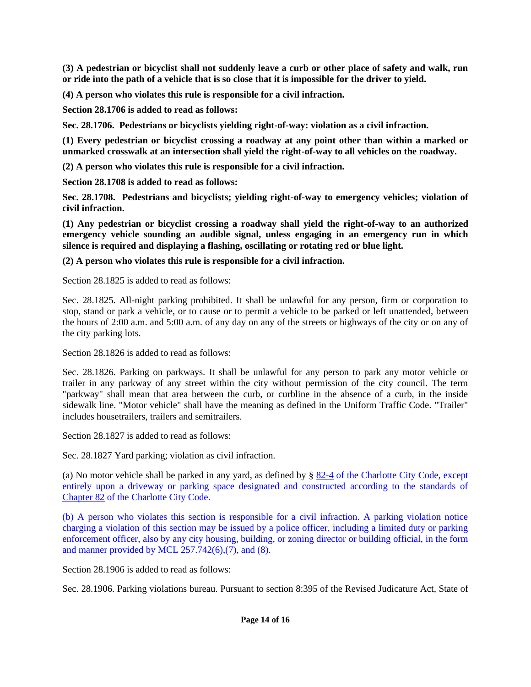**(3) A pedestrian or bicyclist shall not suddenly leave a curb or other place of safety and walk, run or ride into the path of a vehicle that is so close that it is impossible for the driver to yield.**

**(4) A person who violates this rule is responsible for a civil infraction.**

**Section 28.1706 is added to read as follows:**

**Sec. 28.1706. Pedestrians or bicyclists yielding right-of-way: violation as a civil infraction.**

**(1) Every pedestrian or bicyclist crossing a roadway at any point other than within a marked or unmarked crosswalk at an intersection shall yield the right-of-way to all vehicles on the roadway.**

**(2) A person who violates this rule is responsible for a civil infraction.**

**Section 28.1708 is added to read as follows:**

**Sec. 28.1708. Pedestrians and bicyclists; yielding right-of-way to emergency vehicles; violation of civil infraction.**

**(1) Any pedestrian or bicyclist crossing a roadway shall yield the right-of-way to an authorized emergency vehicle sounding an audible signal, unless engaging in an emergency run in which silence is required and displaying a flashing, oscillating or rotating red or blue light.**

**(2) A person who violates this rule is responsible for a civil infraction.**

Section 28.1825 is added to read as follows:

Sec. 28.1825. All-night parking prohibited. It shall be unlawful for any person, firm or corporation to stop, stand or park a vehicle, or to cause or to permit a vehicle to be parked or left unattended, between the hours of 2:00 a.m. and 5:00 a.m. of any day on any of the streets or highways of the city or on any of the city parking lots.

Section 28.1826 is added to read as follows:

Sec. 28.1826. Parking on parkways. It shall be unlawful for any person to park any motor vehicle or trailer in any parkway of any street within the city without permission of the city council. The term "parkway" shall mean that area between the curb, or curbline in the absence of a curb, in the inside sidewalk line. "Motor vehicle" shall have the meaning as defined in the Uniform Traffic Code. "Trailer" includes housetrailers, trailers and semitrailers.

Section 28.1827 is added to read as follows:

Sec. 28.1827 Yard parking; violation as civil infraction.

(a) No motor vehicle shall be parked in any yard, as defined by § [82-4](file:///C:/nxt/gateway.dll?f=jumplink$jumplink_x=Advanced$jumplink_vpc=first$jumplink_xsl=querylink.xsl$jumplink_sel=title;path;content-type;home-title;item-bookmark$jumplink_d=michigan(charlotte_mi)$jumplink_q=%5bfield%20folio-destination-name:) of the Charlotte City Code, except entirely upon a driveway or parking space designated and constructed according to the standards of <a href='file:///C:/nxt/gateway.dll%3ff=jumplink\$jumplink\_x=Advanced\$jumplink\_vpc=first\$jumplink\_xsl=querylink.xsl\$jumplink\_sel=title;path;content-type;home-title;item-bookmark\$jumplink\_d=michigan(charlotte\_mi)\$jumplink\_q=%5bfield%20folio-destination-name:'Chapter%2052'%5d\$jumplink\_md='>Chapter 82 of the Charlotte City Code.

(b) A person who violates this section is responsible for a civil infraction. A parking violation notice charging a violation of this section may be issued by a police officer, including a limited duty or parking enforcement officer, also by any city housing, building, or zoning director or building official, in the form and manner provided by MCL  $257.742(6)$ , (7), and (8).

Section 28.1906 is added to read as follows:

Sec. 28.1906. Parking violations bureau. Pursuant to section 8:395 of the Revised Judicature Act, State of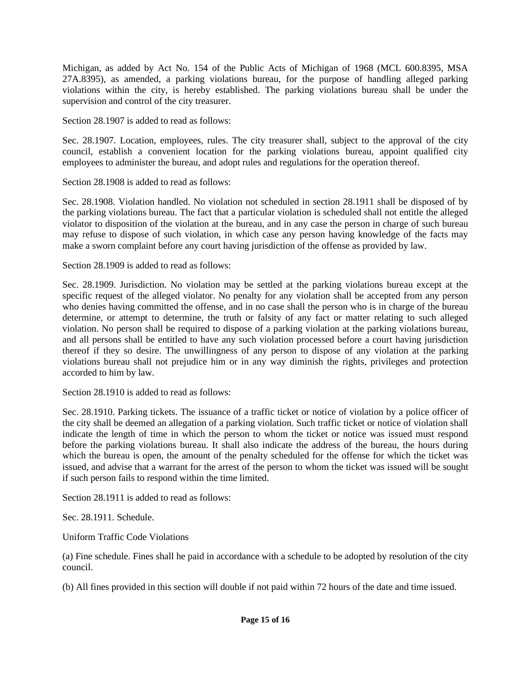Michigan, as added by Act No. 154 of the Public Acts of Michigan of 1968 (MCL 600.8395, MSA 27A.8395), as amended, a parking violations bureau, for the purpose of handling alleged parking violations within the city, is hereby established. The parking violations bureau shall be under the supervision and control of the city treasurer.

Section 28.1907 is added to read as follows:

Sec. 28.1907. Location, employees, rules. The city treasurer shall, subject to the approval of the city council, establish a convenient location for the parking violations bureau, appoint qualified city employees to administer the bureau, and adopt rules and regulations for the operation thereof.

Section 28.1908 is added to read as follows:

Sec. 28.1908. Violation handled. No violation not scheduled in section 28.1911 shall be disposed of by the parking violations bureau. The fact that a particular violation is scheduled shall not entitle the alleged violator to disposition of the violation at the bureau, and in any case the person in charge of such bureau may refuse to dispose of such violation, in which case any person having knowledge of the facts may make a sworn complaint before any court having jurisdiction of the offense as provided by law.

Section 28.1909 is added to read as follows:

Sec. 28.1909. Jurisdiction. No violation may be settled at the parking violations bureau except at the specific request of the alleged violator. No penalty for any violation shall be accepted from any person who denies having committed the offense, and in no case shall the person who is in charge of the bureau determine, or attempt to determine, the truth or falsity of any fact or matter relating to such alleged violation. No person shall be required to dispose of a parking violation at the parking violations bureau, and all persons shall be entitled to have any such violation processed before a court having jurisdiction thereof if they so desire. The unwillingness of any person to dispose of any violation at the parking violations bureau shall not prejudice him or in any way diminish the rights, privileges and protection accorded to him by law.

Section 28.1910 is added to read as follows:

Sec. 28.1910. Parking tickets. The issuance of a traffic ticket or notice of violation by a police officer of the city shall be deemed an allegation of a parking violation. Such traffic ticket or notice of violation shall indicate the length of time in which the person to whom the ticket or notice was issued must respond before the parking violations bureau. It shall also indicate the address of the bureau, the hours during which the bureau is open, the amount of the penalty scheduled for the offense for which the ticket was issued, and advise that a warrant for the arrest of the person to whom the ticket was issued will be sought if such person fails to respond within the time limited.

Section 28.1911 is added to read as follows:

Sec. 28.1911. Schedule.

Uniform Traffic Code Violations

(a) Fine schedule. Fines shall he paid in accordance with a schedule to be adopted by resolution of the city council.

(b) All fines provided in this section will double if not paid within 72 hours of the date and time issued.